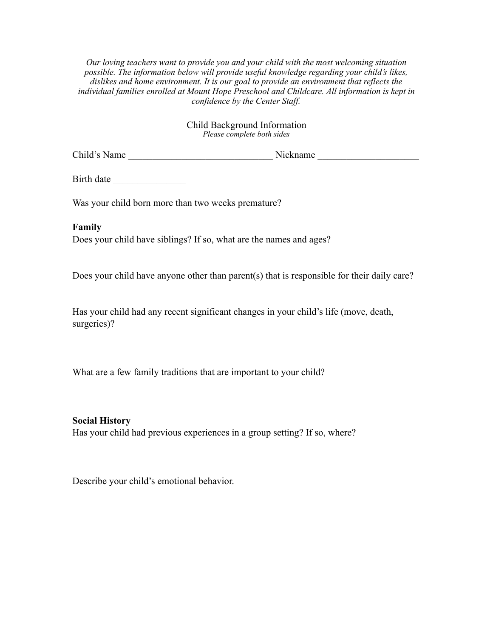*Our loving teachers want to provide you and your child with the most welcoming situation possible. The information below will provide useful knowledge regarding your child's likes, dislikes and home environment. It is our goal to provide an environment that reflects the individual families enrolled at Mount Hope Preschool and Childcare. All information is kept in confidence by the Center Staff.*

## Child Background Information *Please complete both sides*

Child's Name \_\_\_\_\_\_\_\_\_\_\_\_\_\_\_\_\_\_\_\_\_\_\_\_\_\_\_\_\_\_ Nickname \_\_\_\_\_\_\_\_\_\_\_\_\_\_\_\_\_\_\_\_\_

Birth date

Was your child born more than two weeks premature?

**Family**

Does your child have siblings? If so, what are the names and ages?

Does your child have anyone other than parent(s) that is responsible for their daily care?

Has your child had any recent significant changes in your child's life (move, death, surgeries)?

What are a few family traditions that are important to your child?

**Social History** Has your child had previous experiences in a group setting? If so, where?

Describe your child's emotional behavior.